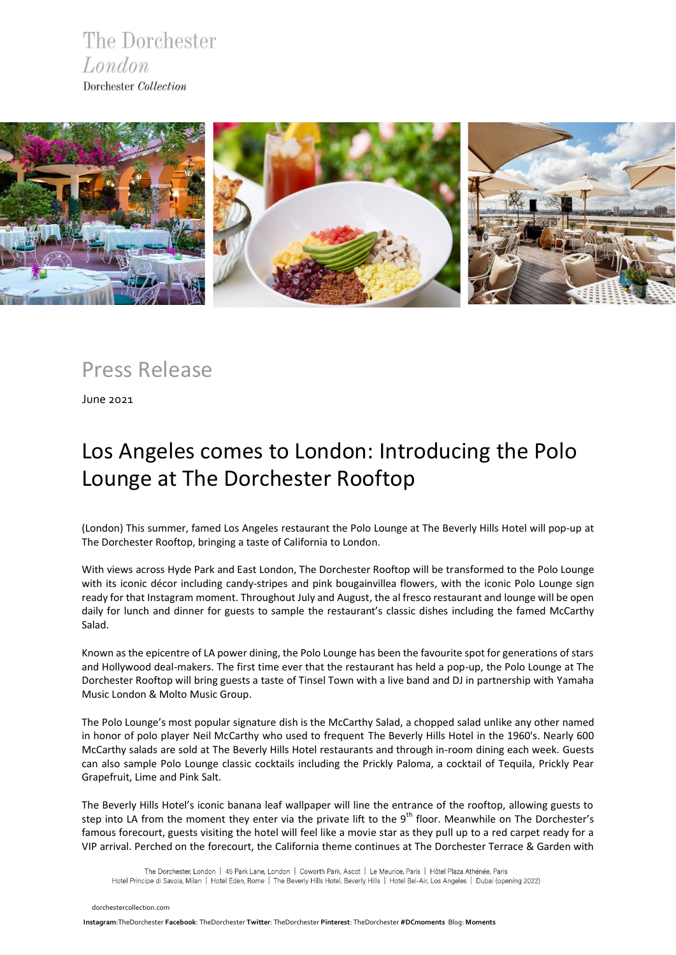The Dorchester London Dorchester Collection



Press Release

June 2021

## Los Angeles comes to London: Introducing the Polo Lounge at The Dorchester Rooftop

(London) This summer, famed Los Angeles restaurant the Polo Lounge at The Beverly Hills Hotel will pop-up at The Dorchester Rooftop, bringing a taste of California to London.

With views across Hyde Park and East London, The Dorchester Rooftop will be transformed to the Polo Lounge with its iconic décor including candy-stripes and pink bougainvillea flowers, with the iconic Polo Lounge sign ready for that Instagram moment. Throughout July and August, the al fresco restaurant and lounge will be open daily for lunch and dinner for guests to sample the restaurant's classic dishes including the famed McCarthy Salad.

Known as the epicentre of LA power dining, the Polo Lounge has been the favourite spot for generations of stars and Hollywood deal-makers. The first time ever that the restaurant has held a pop-up, the Polo Lounge at The Dorchester Rooftop will bring guests a taste of Tinsel Town with a live band and DJ in partnership with Yamaha Music London & Molto Music Group.

The Polo Lounge's most popular signature dish is the McCarthy Salad, a chopped salad unlike any other named in honor of polo player Neil McCarthy who used to frequent The Beverly Hills Hotel in the 1960's. Nearly 600 McCarthy salads are sold at The Beverly Hills Hotel restaurants and through in-room dining each week. Guests can also sample Polo Lounge classic cocktails including the Prickly Paloma, a cocktail of Tequila, Prickly Pear Grapefruit, Lime and Pink Salt.

The Beverly Hills Hotel's iconic banana leaf wallpaper will line the entrance of the rooftop, allowing guests to step into LA from the moment they enter via the private lift to the  $9<sup>th</sup>$  floor. Meanwhile on The Dorchester's famous forecourt, guests visiting the hotel will feel like a movie star as they pull up to a red carpet ready for a VIP arrival. Perched on the forecourt, the California theme continues at The Dorchester Terrace & Garden with

The Dorchester, London | 45 Park Lane, London | Coworth Park, Ascot | Le Meurice, Paris | Hôtel Plaza Athénée, Paris Hotel Principe di Savoia, Milan | Hotel Eden, Rome | The Beverly Hills Hotel, Beverly Hills | Hotel Bel-Air, Los Angeles | Dubai (opening 2022)

 [dorchestercollection.com](https://www.instagram.com/thedorchester/)

 **[Ins](https://www.dorchestercollection.com/en/london/the-dorchester/)tagram**:TheDorchester **Facebook**: [TheDorchester](https://www.facebook.com/TheDorchester) **Twitter**: [TheDorchester](https://twitter.com/TheDorchester) **Pinterest**[: TheDorchester](https://www.pinterest.co.uk/thedorchester/_created/) **#DCmoments** Blog: **[Moments](https://www.dorchestercollection.com/en/moments/)**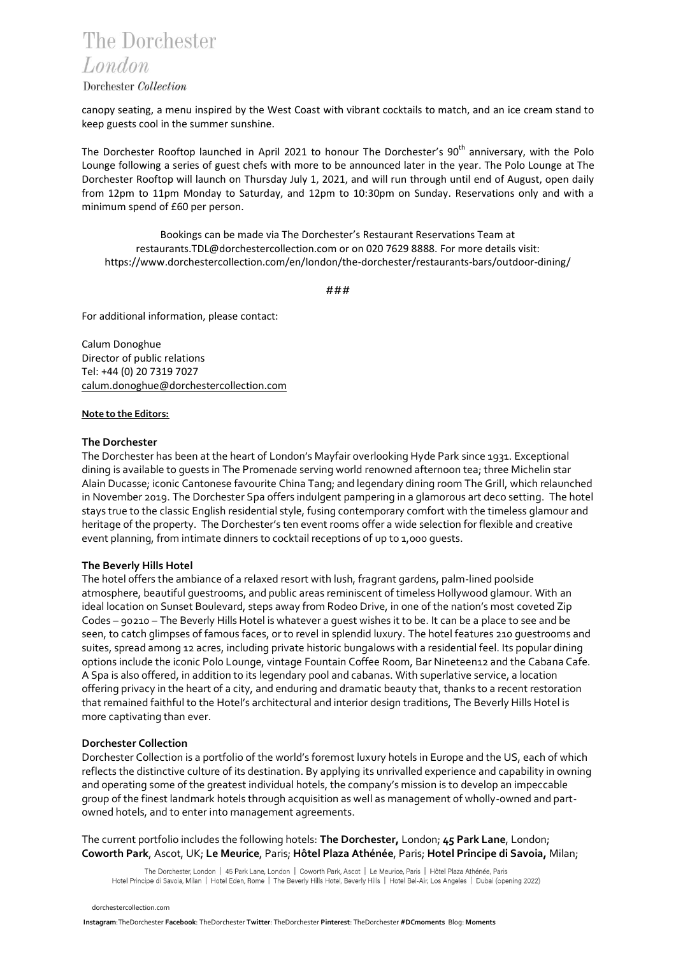### The Dorchester London

#### Dorchester Collection

canopy seating, a menu inspired by the West Coast with vibrant cocktails to match, and an ice cream stand to keep guests cool in the summer sunshine.

The Dorchester Rooftop launched in April 2021 to honour The Dorchester's 90<sup>th</sup> anniversary, with the Polo Lounge following a series of guest chefs with more to be announced later in the year. The Polo Lounge at The Dorchester Rooftop will launch on Thursday July 1, 2021, and will run through until end of August, open daily from 12pm to 11pm Monday to Saturday, and 12pm to 10:30pm on Sunday. Reservations only and with a minimum spend of £60 per person.

Bookings can be made via The Dorchester's Restaurant Reservations Team at restaurants.TDL@dorchestercollection.com or on 020 7629 8888. For more details visit: <https://www.dorchestercollection.com/en/london/the-dorchester/restaurants-bars/outdoor-dining/>

###

For additional information, please contact:

Calum Donoghue Director of public relations Tel: +44 (0) 20 7319 7027 [calum.donoghue@dorchestercollection.com](mailto:calum.donoghue@dorchestercollection.com)

#### **Note to the Editors:**

#### **The Dorchester**

The Dorchester has been at the heart of London's Mayfair overlooking Hyde Park since 1931. Exceptional dining is available to guests in The Promenade serving world renowned afternoon tea; three Michelin star Alain Ducasse; iconic Cantonese favourite China Tang; and legendary dining room The Grill, which relaunched in November 2019. The Dorchester Spa offers indulgent pampering in a glamorous art deco setting. The hotel stays true to the classic English residential style, fusing contemporary comfort with the timeless glamour and heritage of the property. The Dorchester's ten event rooms offer a wide selection for flexible and creative event planning, from intimate dinners to cocktail receptions of up to 1,000 guests.

#### **The Beverly Hills Hotel**

The hotel offers the ambiance of a relaxed resort with lush, fragrant gardens, palm-lined poolside atmosphere, beautiful guestrooms, and public areas reminiscent of timeless Hollywood glamour. With an ideal location on Sunset Boulevard, steps away from Rodeo Drive, in one of the nation's most coveted Zip Codes – 90210 – The Beverly Hills Hotel is whatever a guest wishes it to be. It can be a place to see and be seen, to catch glimpses of famous faces, or to revel in splendid luxury. The hotel features 210 guestrooms and suites, spread among 12 acres, including private historic bungalows with a residential feel. Its popular dining options include the iconic Polo Lounge, vintage Fountain Coffee Room, Bar Nineteen12 and the Cabana Cafe. A Spa is also offered, in addition to its legendary pool and cabanas. With superlative service, a location offering privacy in the heart of a city, and enduring and dramatic beauty that, thanks to a recent restoration that remained faithful to the Hotel's architectural and interior design traditions, The Beverly Hills Hotel is more captivating than ever.

#### **Dorchester Collection**

Dorchester Collection is a portfolio of the world's foremost luxury hotels in Europe and the US, each of which reflects the distinctive culture of its destination. By applying its unrivalled experience and capability in owning and operating some of the greatest individual hotels, the company's mission is to develop an impeccable group of the finest landmark hotels through acquisition as well as management of wholly-owned and partowned hotels, and to enter into management agreements.

#### The current portfolio includes the following hotels: **The Dorchester,** London; **45 Park Lane**, London; **Coworth Park**, Ascot, UK; **Le Meurice**, Paris; **Hôtel Plaza Athénée**, Paris; **Hotel Principe di Savoia,** Milan;

The Dorchester, London | 45 Park Lane, London | Coworth Park, Ascot | Le Meurice, Paris | Hôtel Plaza Athénée, Paris Hotel Principe di Savoia, Milan | Hotel Eden, Rome | The Beverly Hills Hotel, Beverly Hills | Hotel Bel-Air, Los Angeles | Dubai (opening 2022)

 [dorchestercollection.com](https://www.instagram.com/thedorchester/)